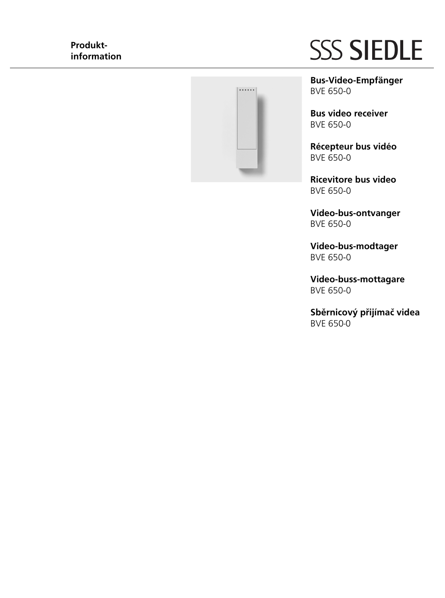# **Produktinformation**



# **SSS SIEDLE**

**Bus-Video-Empfänger** BVE 650-0

**Bus video receiver** BVE 650-0

**Récepteur bus vidéo** BVE 650-0

**Ricevitore bus video** BVE 650-0

**Video-bus-ontvanger** BVE 650-0

**Video-bus-modtager** BVE 650-0

**Video-buss-mottagare** BVE 650-0

Sběrnicový přijímač videa BVE 650-0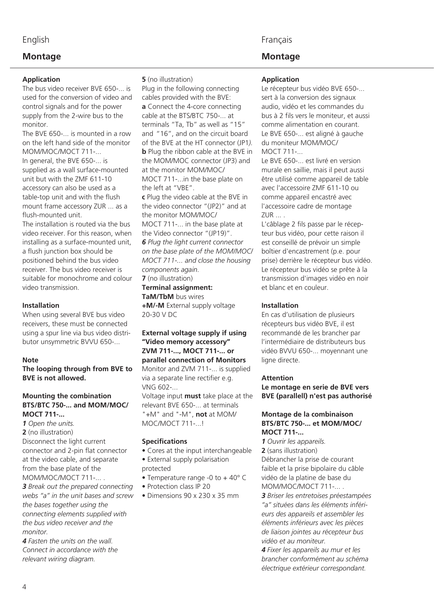## English

# **Montage**

## **Application**

The bus video receiver BVE 650-... is used for the conversion of video and control signals and for the power supply from the 2-wire bus to the monitor.

The BVE 650-... is mounted in a row on the left hand side of the monitor MOM/MOC/MOCT 711-...

In general, the BVE 650-... is supplied as a wall surface-mounted unit but with the ZMF 611-10 accessory can also be used as a table-top unit and with the flush mount frame accessory ZUR ... as a flush-mounted unit.

The installation is routed via the bus video receiver. For this reason, when installing as a surface-mounted unit, a flush junction box should be positioned behind the bus video receiver. The bus video receiver is suitable for monochrome and colour video transmission.

#### **Installation**

When using several BVE bus video receivers, these must be connected using a spur line via bus video distributor unsymmetric BVVU 650-...

#### **Note**

**The looping through from BVE to BVE is not allowed.**

#### **Mounting the combination BTS/BTC 750-... and MOM/MOC/ MOCT 711-...**

*1 Open the units.*  **2** (no illustration) Disconnect the light current connector and 2-pin flat connector at the video cable, and separate from the base plate of the MOM/MOC/MOCT 711-... .

*3 Break out the prepared connecting webs "a" in the unit bases and screw the bases together using the connecting elements supplied with the bus video receiver and the monitor.* 

*4 Fasten the units on the wall. Connect in accordance with the relevant wiring diagram.* 

#### **5** (no illustration)

Plug in the following connecting cables provided with the BVE: **a** Connect the 4-core connecting cable at the BTS/BTC 750-... at terminals "Ta, Tb" as well as "15" and "16", and on the circuit board of the BVE at the HT connector (JP1*).* **b** Plug the ribbon cable at the BVE in the MOM/MOC connector (JP3) and at the monitor MOM/MOC/ MOCT 711-...in the base plate on the left at "VBE". **c** Plug the video cable at the BVE in the video connector "(JP2)" and at the monitor MOM/MOC/ MOCT 711-... in the base plate at the Video connector "(JP19)". *6 Plug the light current connector on the base plate of the MOM/MOC/ MOCT 711-... and close the housing components again.* **7** (no illustration)

#### **Terminal assignment:**

**TaM/TbM** bus wires

**+M/-M** External supply voltage 20-30 V DC

## **External voltage supply if using "Video memory accessory" ZVM 711-..., MOCT 711-... or parallel connection of Monitors**

Monitor and ZVM 711-... is supplied via a separate line rectifier e.g. VNG 602-... Voltage input **must** take place at the relevant BVE 650-... at terminals "+M" and "-M", **not** at MOM/ MOC/MOCT 711-

## **Specifications**

- Cores at the input interchangeable
- External supply polarisation protected
- Temperature range -0 to + 40° C
- Protection class IP 20
- Dimensions 90 x 230 x 35 mm

## Français

# **Montage**

### **Application**

Le récepteur bus vidéo BVE 650-... sert à la conversion des signaux audio, vidéo et les commandes du bus à 2 fils vers le moniteur, et aussi comme alimentation en courant. Le BVE 650-... est aligné à gauche du moniteur MOM/MOC/ MOCT 711-...

Le BVE 650-... est livré en version murale en saillie, mais il peut aussi être utilisé comme appareil de table avec l'accessoire ZMF 611-10 ou comme appareil encastré avec l'accessoire cadre de montage ZUR ... .

L'câblage 2 fils passe par le récepteur bus vidéo, pour cette raison il est conseillé de prévoir un simple boîtier d'encastrement (p.e. pour prise) derrière le récepteur bus vidéo. Le récepteur bus vidéo se prête à la transmission d'images vidéo en noir et blanc et en couleur.

#### **Installation**

En cas d'utilisation de plusieurs récepteurs bus vidéo BVE, il est recommandé de les brancher par l'intermédiaire de distributeurs bus vidéo BVVU 650-... moyennant une ligne directe.

#### **Attention**

**Le montage en serie de BVE vers BVE (parallell) n'est pas authorisé** 

#### **Montage de la combinaison BTS/BTC 750-... et MOM/MOC/ MOCT 711-...**

*1 Ouvrir les appareils.*  **2** (sans illustration) Débrancher la prise de courant faible et la prise bipolaire du câble vidéo de la platine de base du MOM/MOC/MOCT 711-... .

*3 Briser les entretoises préestampées "a" situées dans les éléments inférieurs des appareils et assembler les éléments inférieurs avec les pièces de liaison jointes au récepteur bus vidéo et au moniteur.*

*4 Fixer les appareils au mur et les brancher conformément au schéma électrique extérieur correspondant.*